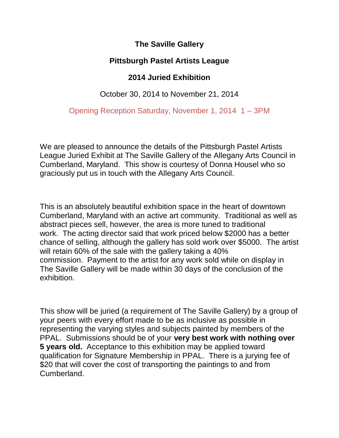## **The Saville Gallery**

## **Pittsburgh Pastel Artists League**

## **2014 Juried Exhibition**

## October 30, 2014 to November 21, 2014

Opening Reception Saturday, November 1, 2014 1 – 3PM

We are pleased to announce the details of the Pittsburgh Pastel Artists League Juried Exhibit at The Saville Gallery of the Allegany Arts Council in Cumberland, Maryland. This show is courtesy of Donna Housel who so graciously put us in touch with the Allegany Arts Council.

This is an absolutely beautiful exhibition space in the heart of downtown Cumberland, Maryland with an active art community. Traditional as well as abstract pieces sell, however, the area is more tuned to traditional work. The acting director said that work priced below \$2000 has a better chance of selling, although the gallery has sold work over \$5000. The artist will retain 60% of the sale with the gallery taking a 40% commission. Payment to the artist for any work sold while on display in The Saville Gallery will be made within 30 days of the conclusion of the exhibition.

This show will be juried (a requirement of The Saville Gallery) by a group of your peers with every effort made to be as inclusive as possible in representing the varying styles and subjects painted by members of the PPAL. Submissions should be of your **very best work with nothing over 5 years old.** Acceptance to this exhibition may be applied toward qualification for Signature Membership in PPAL. There is a jurying fee of \$20 that will cover the cost of transporting the paintings to and from Cumberland.